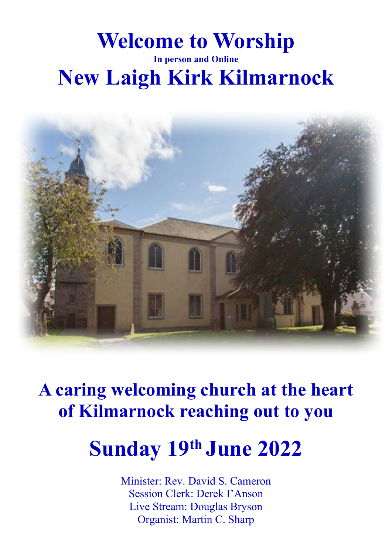# **Welcome to Worship In person and Online New Laigh Kirk Kilmarnock**



**A caring welcoming church at the heart of Kilmarnock reaching out to you**

# **Sunday 19th June 2022**

Minister: Rev. David S. Cameron Session Clerk: Derek I'Anson Live Stream: Douglas Bryson Organist: Martin C. Sharp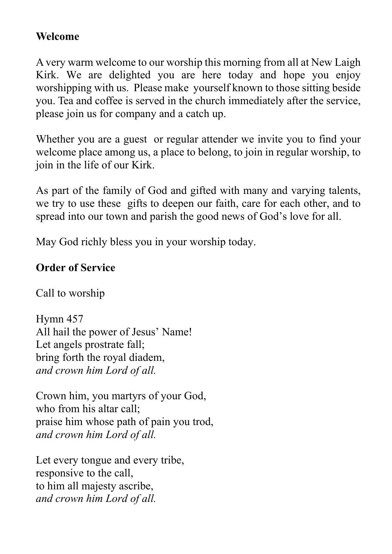## **Welcome**

A very warm welcome to our worship this morning from all at New Laigh Kirk. We are delighted you are here today and hope you enjoy worshipping with us. Please make yourself known to those sitting beside you. Tea and coffee is served in the church immediately after the service, please join us for company and a catch up.

Whether you are a guest or regular attender we invite you to find your welcome place among us, a place to belong, to join in regular worship, to join in the life of our Kirk.

As part of the family of God and gifted with many and varying talents, we try to use these gifts to deepen our faith, care for each other, and to spread into our town and parish the good news of God's love for all.

May God richly bless you in your worship today.

## **Order of Service**

Call to worship

Hymn 457 All hail the power of Jesus' Name! Let angels prostrate fall; bring forth the royal diadem, *and crown him Lord of all.*

Crown him, you martyrs of your God, who from his altar call; praise him whose path of pain you trod, *and crown him Lord of all.*

Let every tongue and every tribe, responsive to the call, to him all majesty ascribe, *and crown him Lord of all.*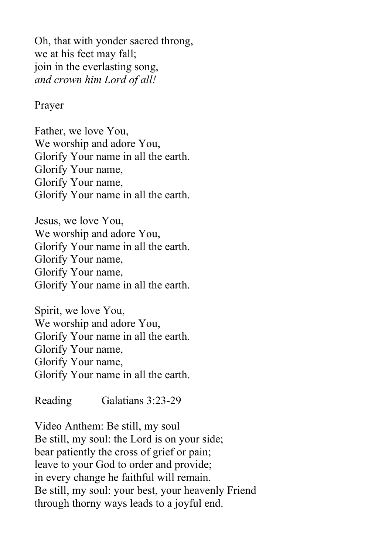Oh, that with yonder sacred throng, we at his feet may fall; join in the everlasting song, *and crown him Lord of all!*

#### Prayer

Father, we love You, We worship and adore You, Glorify Your name in all the earth. Glorify Your name, Glorify Your name, Glorify Your name in all the earth.

Jesus, we love You, We worship and adore You, Glorify Your name in all the earth. Glorify Your name, Glorify Your name, Glorify Your name in all the earth.

Spirit, we love You, We worship and adore You, Glorify Your name in all the earth. Glorify Your name, Glorify Your name, Glorify Your name in all the earth.

Reading Galatians 3:23-29

Video Anthem: Be still, my soul Be still, my soul: the Lord is on your side; bear patiently the cross of grief or pain; leave to your God to order and provide; in every change he faithful will remain. Be still, my soul: your best, your heavenly Friend through thorny ways leads to a joyful end.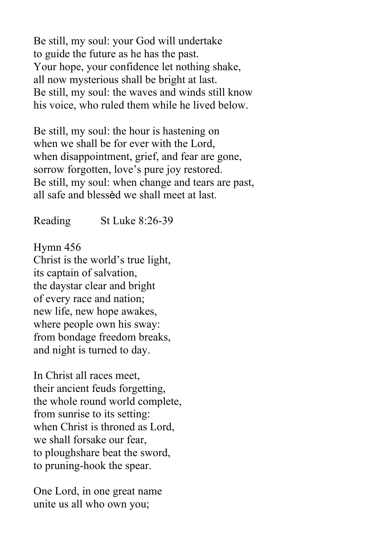Be still, my soul: your God will undertake to guide the future as he has the past. Your hope, your confidence let nothing shake, all now mysterious shall be bright at last. Be still, my soul: the waves and winds still know his voice, who ruled them while he lived below.

Be still, my soul: the hour is hastening on when we shall be for ever with the Lord, when disappointment, grief, and fear are gone, sorrow forgotten, love's pure joy restored. Be still, my soul: when change and tears are past, all safe and blessèd we shall meet at last.

Reading St Luke 8:26-39

Hymn 456 Christ is the world's true light, its captain of salvation, the daystar clear and bright of every race and nation; new life, new hope awakes, where people own his sway: from bondage freedom breaks, and night is turned to day.

In Christ all races meet, their ancient feuds forgetting, the whole round world complete, from sunrise to its setting: when Christ is throned as Lord, we shall forsake our fear, to ploughshare beat the sword, to pruning-hook the spear.

One Lord, in one great name unite us all who own you;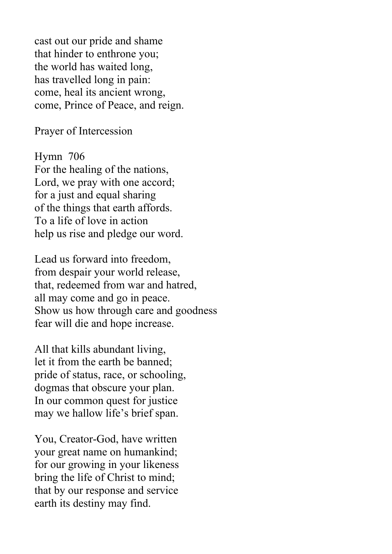cast out our pride and shame that hinder to enthrone you; the world has waited long, has travelled long in pain: come, heal its ancient wrong, come, Prince of Peace, and reign.

Prayer of Intercession

Hymn 706 For the healing of the nations, Lord, we pray with one accord; for a just and equal sharing of the things that earth affords. To a life of love in action help us rise and pledge our word.

Lead us forward into freedom, from despair your world release, that, redeemed from war and hatred, all may come and go in peace. Show us how through care and goodness fear will die and hope increase.

All that kills abundant living, let it from the earth be banned; pride of status, race, or schooling, dogmas that obscure your plan. In our common quest for justice may we hallow life's brief span.

You, Creator-God, have written your great name on humankind; for our growing in your likeness bring the life of Christ to mind; that by our response and service earth its destiny may find.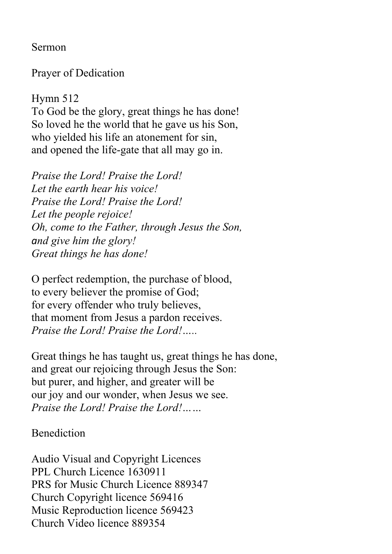Sermon

Prayer of Dedication

Hymn 512 To God be the glory, great things he has done! So loved he the world that he gave us his Son, who yielded his life an atonement for sin, and opened the life-gate that all may go in.

*Praise the Lord! Praise the Lord! Let the earth hear his voice! Praise the Lord! Praise the Lord! Let the people rejoice! Oh, come to the Father, through Jesus the Son, and give him the glory! Great things he has done!*

O perfect redemption, the purchase of blood, to every believer the promise of God; for every offender who truly believes, that moment from Jesus a pardon receives. *Praise the Lord! Praise the Lord!…..*

Great things he has taught us, great things he has done, and great our rejoicing through Jesus the Son: but purer, and higher, and greater will be our joy and our wonder, when Jesus we see. *Praise the Lord! Praise the Lord!……*

Benediction

Audio Visual and Copyright Licences PPL Church Licence 1630911 PRS for Music Church Licence 889347 Church Copyright licence 569416 Music Reproduction licence 569423 Church Video licence 889354